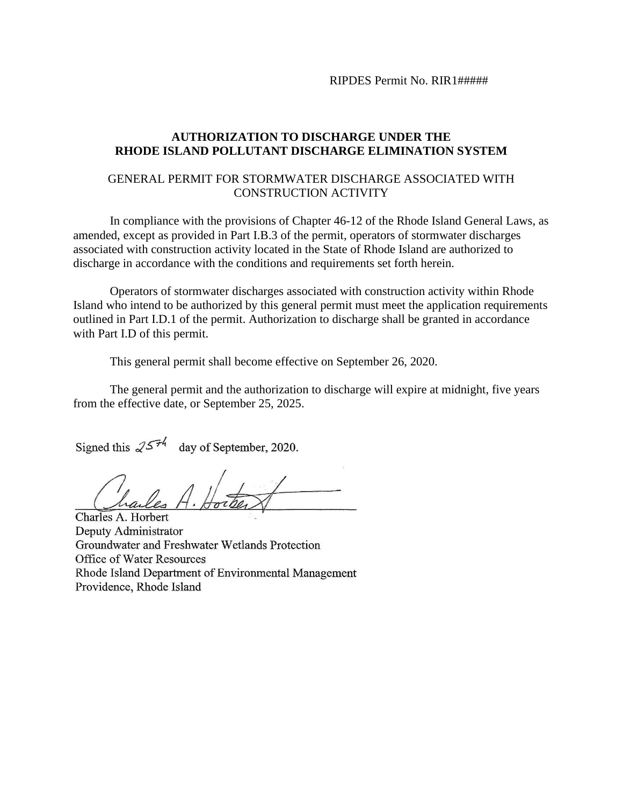RIPDES Permit No. RIR1#####

#### **AUTHORIZATION TO DISCHARGE UNDER THE RHODE ISLAND POLLUTANT DISCHARGE ELIMINATION SYSTEM**

#### GENERAL PERMIT FOR STORMWATER DISCHARGE ASSOCIATED WITH CONSTRUCTION ACTIVITY

In compliance with the provisions of Chapter 46-12 of the Rhode Island General Laws, as amended, except as provided in Part I.B.3 of the permit, operators of stormwater discharges associated with construction activity located in the State of Rhode Island are authorized to discharge in accordance with the conditions and requirements set forth herein.

Operators of stormwater discharges associated with construction activity within Rhode Island who intend to be authorized by this general permit must meet the application requirements outlined in Part I.D.1 of the permit. Authorization to discharge shall be granted in accordance with Part I.D of this permit.

This general permit shall become effective on September 26, 2020.

The general permit and the authorization to discharge will expire at midnight, five years from the effective date, or September 25, 2025.

Signed this  $25\frac{7}{4}$  day of September, 2020.

 $\bigcup$ hailes H. Horbert

Charles A. Horbert Deputy Administrator Groundwater and Freshwater Wetlands Protection Office of Water Resources Rhode Island Department of Environmental Management Providence, Rhode Island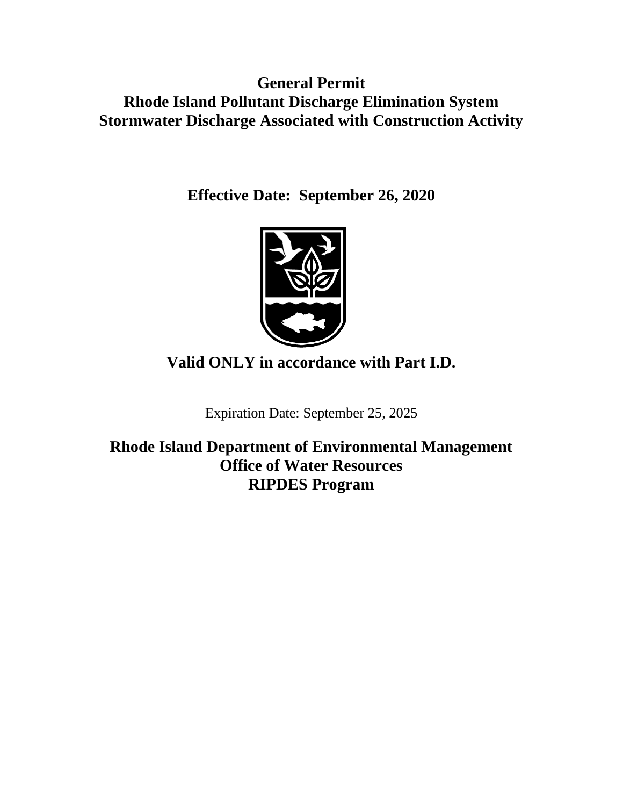**General Permit Rhode Island Pollutant Discharge Elimination System Stormwater Discharge Associated with Construction Activity**

**Effective Date: September 26, 2020**



**Valid ONLY in accordance with Part I.D.**

Expiration Date: September 25, 2025

**Rhode Island Department of Environmental Management Office of Water Resources RIPDES Program**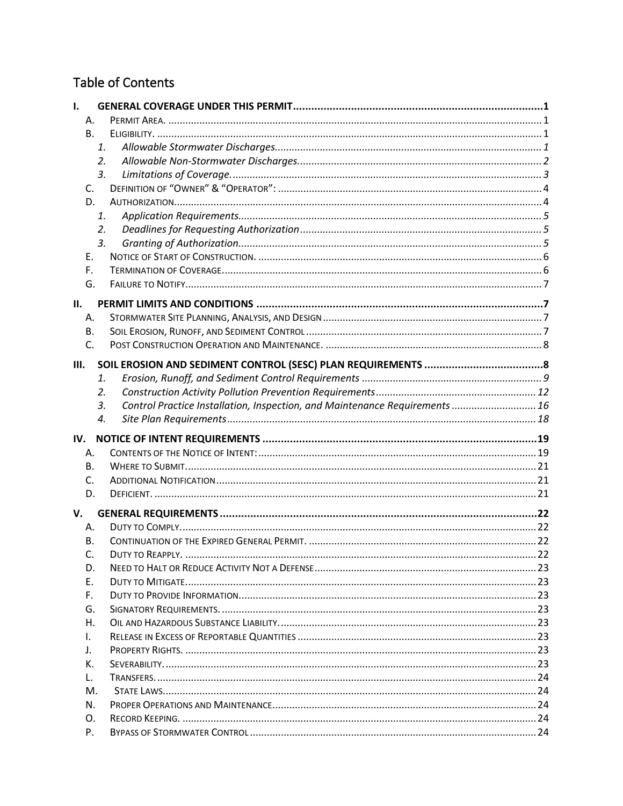# Table of Contents

| ı.                                                                                |  |
|-----------------------------------------------------------------------------------|--|
| А.                                                                                |  |
| <b>B.</b>                                                                         |  |
| 1.                                                                                |  |
| 2.                                                                                |  |
| 3.                                                                                |  |
| C.                                                                                |  |
| D.                                                                                |  |
| 1.                                                                                |  |
| 2.                                                                                |  |
| 3.                                                                                |  |
| Ε.                                                                                |  |
| F.                                                                                |  |
| G.                                                                                |  |
| П.                                                                                |  |
| Α.                                                                                |  |
| В.                                                                                |  |
| C.                                                                                |  |
|                                                                                   |  |
| Ш.                                                                                |  |
| 1.                                                                                |  |
| 2.                                                                                |  |
| Control Practice Installation, Inspection, and Maintenance Requirements  16<br>3. |  |
| 4.                                                                                |  |
| IV.                                                                               |  |
| Α.                                                                                |  |
| В.                                                                                |  |
| C.                                                                                |  |
| D.                                                                                |  |
| V.                                                                                |  |
| Α.                                                                                |  |
| В.                                                                                |  |
| DUTY TO REAPPLY.<br>C.                                                            |  |
| D.                                                                                |  |
| Е.                                                                                |  |
| F.                                                                                |  |
| G.                                                                                |  |
| Η.                                                                                |  |
| L.                                                                                |  |
| J.                                                                                |  |
| К.                                                                                |  |
|                                                                                   |  |
| L.                                                                                |  |
| М.                                                                                |  |
| N.                                                                                |  |
| 0.                                                                                |  |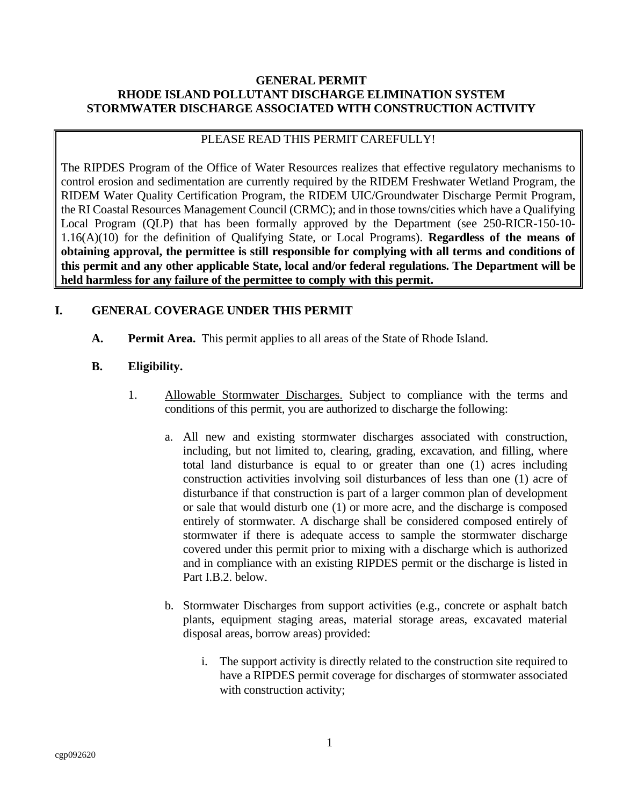## **GENERAL PERMIT RHODE ISLAND POLLUTANT DISCHARGE ELIMINATION SYSTEM STORMWATER DISCHARGE ASSOCIATED WITH CONSTRUCTION ACTIVITY**

#### PLEASE READ THIS PERMIT CAREFULLY!

The RIPDES Program of the Office of Water Resources realizes that effective regulatory mechanisms to control erosion and sedimentation are currently required by the RIDEM Freshwater Wetland Program, the RIDEM Water Quality Certification Program, the RIDEM UIC/Groundwater Discharge Permit Program, the RI Coastal Resources Management Council (CRMC); and in those towns/cities which have a Qualifying Local Program (QLP) that has been formally approved by the Department (see 250-RICR-150-10- 1.16(A)(10) for the definition of Qualifying State, or Local Programs). **Regardless of the means of obtaining approval, the permittee is still responsible for complying with all terms and conditions of this permit and any other applicable State, local and/or federal regulations. The Department will be held harmless for any failure of the permittee to comply with this permit.**

## <span id="page-4-0"></span>**I. GENERAL COVERAGE UNDER THIS PERMIT**

<span id="page-4-1"></span>**A. Permit Area.** This permit applies to all areas of the State of Rhode Island.

## <span id="page-4-2"></span>**B. Eligibility.**

- <span id="page-4-3"></span>1. Allowable Stormwater Discharges. Subject to compliance with the terms and conditions of this permit, you are authorized to discharge the following:
	- a. All new and existing stormwater discharges associated with construction, including, but not limited to, clearing, grading, excavation, and filling, where total land disturbance is equal to or greater than one (1) acres including construction activities involving soil disturbances of less than one (1) acre of disturbance if that construction is part of a larger common plan of development or sale that would disturb one (1) or more acre, and the discharge is composed entirely of stormwater. A discharge shall be considered composed entirely of stormwater if there is adequate access to sample the stormwater discharge covered under this permit prior to mixing with a discharge which is authorized and in compliance with an existing RIPDES permit or the discharge is listed in Part I.B.2. below.
	- b. Stormwater Discharges from support activities (e.g., concrete or asphalt batch plants, equipment staging areas, material storage areas, excavated material disposal areas, borrow areas) provided:
		- i. The support activity is directly related to the construction site required to have a RIPDES permit coverage for discharges of stormwater associated with construction activity;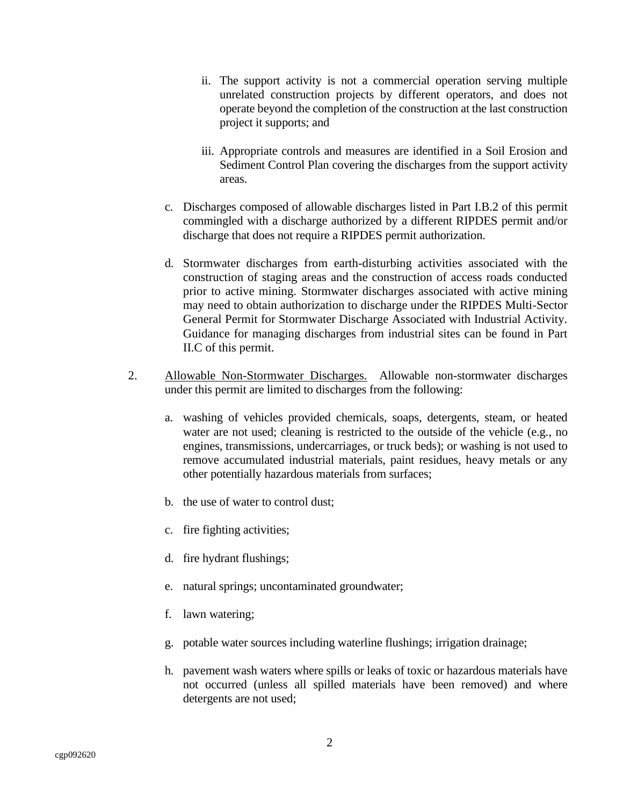- ii. The support activity is not a commercial operation serving multiple unrelated construction projects by different operators, and does not operate beyond the completion of the construction at the last construction project it supports; and
- iii. Appropriate controls and measures are identified in a Soil Erosion and Sediment Control Plan covering the discharges from the support activity areas.
- c. Discharges composed of allowable discharges listed in Part I.B.2 of this permit commingled with a discharge authorized by a different RIPDES permit and/or discharge that does not require a RIPDES permit authorization.
- d. Stormwater discharges from earth-disturbing activities associated with the construction of staging areas and the construction of access roads conducted prior to active mining. Stormwater discharges associated with active mining may need to obtain authorization to discharge under the RIPDES Multi-Sector General Permit for Stormwater Discharge Associated with Industrial Activity. Guidance for managing discharges from industrial sites can be found in Part II.C of this permit.
- <span id="page-5-0"></span>2. Allowable Non-Stormwater Discharges. Allowable non-stormwater discharges under this permit are limited to discharges from the following:
	- a. washing of vehicles provided chemicals, soaps, detergents, steam, or heated water are not used; cleaning is restricted to the outside of the vehicle (e.g., no engines, transmissions, undercarriages, or truck beds); or washing is not used to remove accumulated industrial materials, paint residues, heavy metals or any other potentially hazardous materials from surfaces;
	- b. the use of water to control dust;
	- c. fire fighting activities;
	- d. fire hydrant flushings;
	- e. natural springs; uncontaminated groundwater;
	- f. lawn watering;
	- g. potable water sources including waterline flushings; irrigation drainage;
	- h. pavement wash waters where spills or leaks of toxic or hazardous materials have not occurred (unless all spilled materials have been removed) and where detergents are not used;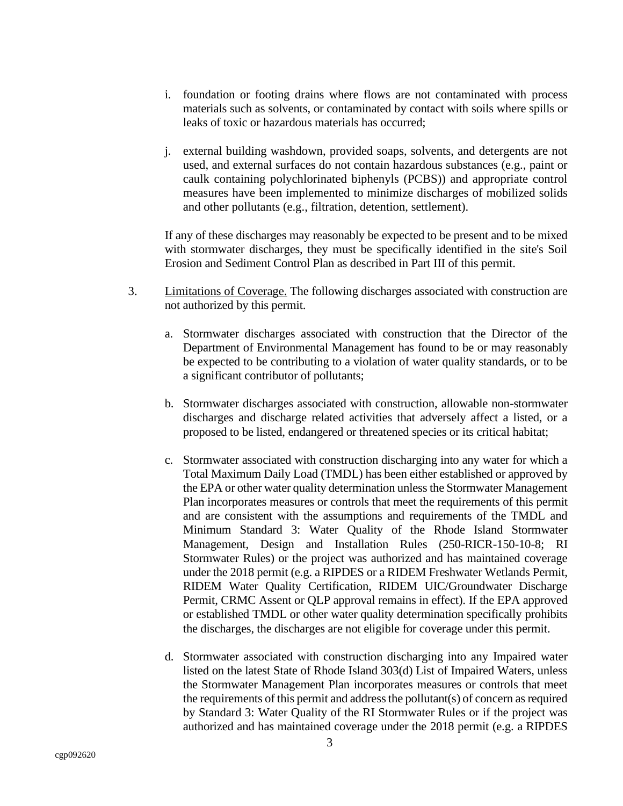- i. foundation or footing drains where flows are not contaminated with process materials such as solvents, or contaminated by contact with soils where spills or leaks of toxic or hazardous materials has occurred;
- j. external building washdown, provided soaps, solvents, and detergents are not used, and external surfaces do not contain hazardous substances (e.g., paint or caulk containing polychlorinated biphenyls (PCBS)) and appropriate control measures have been implemented to minimize discharges of mobilized solids and other pollutants (e.g., filtration, detention, settlement).

If any of these discharges may reasonably be expected to be present and to be mixed with stormwater discharges, they must be specifically identified in the site's Soil Erosion and Sediment Control Plan as described in Part III of this permit.

- <span id="page-6-0"></span>3. Limitations of Coverage. The following discharges associated with construction are not authorized by this permit.
	- a. Stormwater discharges associated with construction that the Director of the Department of Environmental Management has found to be or may reasonably be expected to be contributing to a violation of water quality standards, or to be a significant contributor of pollutants;
	- b. Stormwater discharges associated with construction, allowable non-stormwater discharges and discharge related activities that adversely affect a listed, or a proposed to be listed, endangered or threatened species or its critical habitat;
	- c. Stormwater associated with construction discharging into any water for which a Total Maximum Daily Load (TMDL) has been either established or approved by the EPA or other water quality determination unless the Stormwater Management Plan incorporates measures or controls that meet the requirements of this permit and are consistent with the assumptions and requirements of the TMDL and Minimum Standard 3: Water Quality of the Rhode Island Stormwater Management, Design and Installation Rules (250-RICR-150-10-8; RI Stormwater Rules) or the project was authorized and has maintained coverage under the 2018 permit (e.g. a RIPDES or a RIDEM Freshwater Wetlands Permit, RIDEM Water Quality Certification, RIDEM UIC/Groundwater Discharge Permit, CRMC Assent or QLP approval remains in effect). If the EPA approved or established TMDL or other water quality determination specifically prohibits the discharges, the discharges are not eligible for coverage under this permit.
	- d. Stormwater associated with construction discharging into any Impaired water listed on the latest State of Rhode Island 303(d) List of Impaired Waters, unless the Stormwater Management Plan incorporates measures or controls that meet the requirements of this permit and address the pollutant(s) of concern as required by Standard 3: Water Quality of the RI Stormwater Rules or if the project was authorized and has maintained coverage under the 2018 permit (e.g. a RIPDES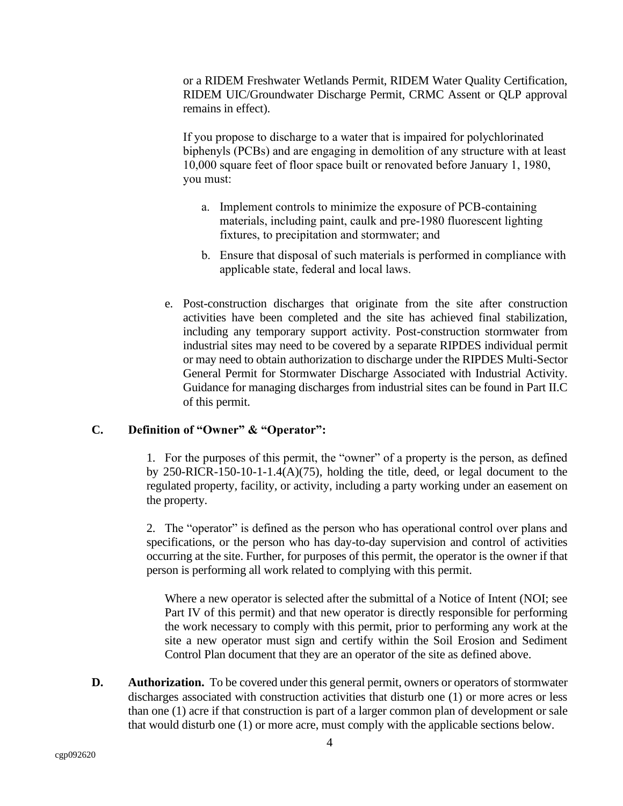or a RIDEM Freshwater Wetlands Permit, RIDEM Water Quality Certification, RIDEM UIC/Groundwater Discharge Permit, CRMC Assent or QLP approval remains in effect).

If you propose to discharge to a water that is impaired for polychlorinated biphenyls (PCBs) and are engaging in demolition of any structure with at least 10,000 square feet of floor space built or renovated before January 1, 1980, you must:

- a. Implement controls to minimize the exposure of PCB-containing materials, including paint, caulk and pre-1980 fluorescent lighting fixtures, to precipitation and stormwater; and
- b. Ensure that disposal of such materials is performed in compliance with applicable state, federal and local laws.
- e. Post-construction discharges that originate from the site after construction activities have been completed and the site has achieved final stabilization, including any temporary support activity. Post-construction stormwater from industrial sites may need to be covered by a separate RIPDES individual permit or may need to obtain authorization to discharge under the RIPDES Multi-Sector General Permit for Stormwater Discharge Associated with Industrial Activity. Guidance for managing discharges from industrial sites can be found in Part II.C of this permit.

# <span id="page-7-0"></span>**C. Definition of "Owner" & "Operator":**

1. For the purposes of this permit, the "owner" of a property is the person, as defined by 250-RICR-150-10-1-1.4(A)(75), holding the title, deed, or legal document to the regulated property, facility, or activity, including a party working under an easement on the property.

2. The "operator" is defined as the person who has operational control over plans and specifications, or the person who has day-to-day supervision and control of activities occurring at the site. Further, for purposes of this permit, the operator is the owner if that person is performing all work related to complying with this permit.

Where a new operator is selected after the submittal of a Notice of Intent (NOI; see Part IV of this permit) and that new operator is directly responsible for performing the work necessary to comply with this permit, prior to performing any work at the site a new operator must sign and certify within the Soil Erosion and Sediment Control Plan document that they are an operator of the site as defined above.

<span id="page-7-1"></span>**D. Authorization.** To be covered under this general permit, owners or operators of stormwater discharges associated with construction activities that disturb one (1) or more acres or less than one (1) acre if that construction is part of a larger common plan of development or sale that would disturb one (1) or more acre, must comply with the applicable sections below.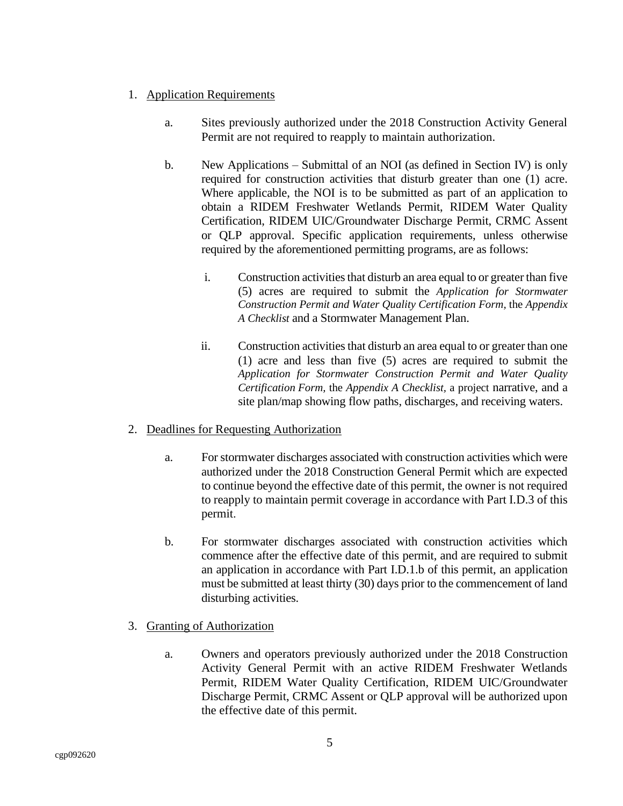- <span id="page-8-0"></span>1. Application Requirements
	- a. Sites previously authorized under the 2018 Construction Activity General Permit are not required to reapply to maintain authorization.
	- b. New Applications Submittal of an NOI (as defined in Section IV) is only required for construction activities that disturb greater than one (1) acre. Where applicable, the NOI is to be submitted as part of an application to obtain a RIDEM Freshwater Wetlands Permit, RIDEM Water Quality Certification, RIDEM UIC/Groundwater Discharge Permit, CRMC Assent or QLP approval. Specific application requirements, unless otherwise required by the aforementioned permitting programs, are as follows:
		- i. Construction activities that disturb an area equal to or greater than five (5) acres are required to submit the *Application for Stormwater Construction Permit and Water Quality Certification Form,* the *Appendix A Checklist* and a Stormwater Management Plan.
		- ii. Construction activities that disturb an area equal to or greater than one (1) acre and less than five (5) acres are required to submit the *Application for Stormwater Construction Permit and Water Quality Certification Form,* the *Appendix A Checklist,* a project narrative, and a site plan/map showing flow paths, discharges, and receiving waters.

#### <span id="page-8-1"></span>2. Deadlines for Requesting Authorization

- a. For stormwater discharges associated with construction activities which were authorized under the 2018 Construction General Permit which are expected to continue beyond the effective date of this permit, the owner is not required to reapply to maintain permit coverage in accordance with Part I.D.3 of this permit.
- b. For stormwater discharges associated with construction activities which commence after the effective date of this permit, and are required to submit an application in accordance with Part I.D.1.b of this permit, an application must be submitted at least thirty (30) days prior to the commencement of land disturbing activities.
- <span id="page-8-2"></span>3. Granting of Authorization
	- a. Owners and operators previously authorized under the 2018 Construction Activity General Permit with an active RIDEM Freshwater Wetlands Permit, RIDEM Water Quality Certification, RIDEM UIC/Groundwater Discharge Permit, CRMC Assent or QLP approval will be authorized upon the effective date of this permit.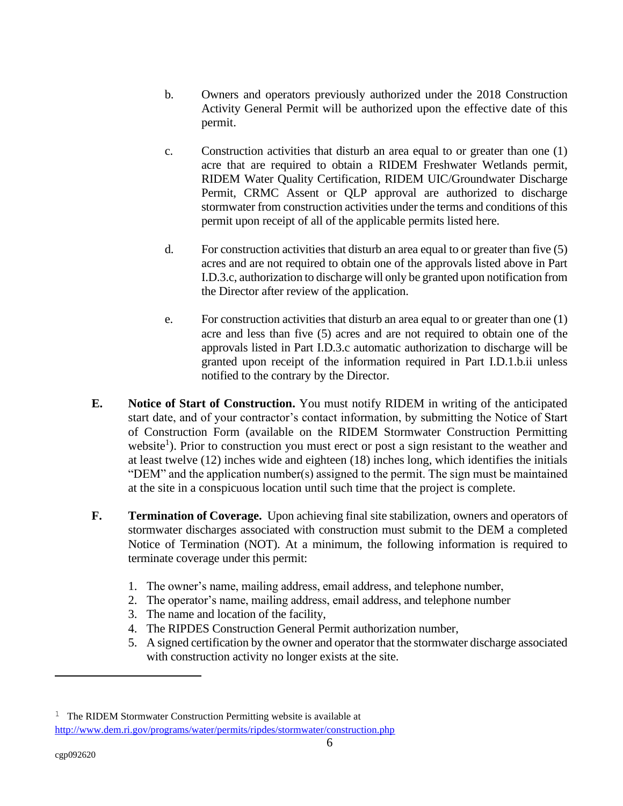- b. Owners and operators previously authorized under the 2018 Construction Activity General Permit will be authorized upon the effective date of this permit.
- c. Construction activities that disturb an area equal to or greater than one (1) acre that are required to obtain a RIDEM Freshwater Wetlands permit, RIDEM Water Quality Certification, RIDEM UIC/Groundwater Discharge Permit, CRMC Assent or QLP approval are authorized to discharge stormwater from construction activities under the terms and conditions of this permit upon receipt of all of the applicable permits listed here.
- d. For construction activities that disturb an area equal to or greater than five (5) acres and are not required to obtain one of the approvals listed above in Part I.D.3.c, authorization to discharge will only be granted upon notification from the Director after review of the application.
- e. For construction activities that disturb an area equal to or greater than one (1) acre and less than five (5) acres and are not required to obtain one of the approvals listed in Part I.D.3.c automatic authorization to discharge will be granted upon receipt of the information required in Part I.D.1.b.ii unless notified to the contrary by the Director.
- <span id="page-9-0"></span>**E. Notice of Start of Construction.** You must notify RIDEM in writing of the anticipated start date, and of your contractor's contact information, by submitting the Notice of Start of Construction Form (available on the RIDEM Stormwater Construction Permitting website<sup>1</sup>). Prior to construction you must erect or post a sign resistant to the weather and at least twelve (12) inches wide and eighteen (18) inches long, which identifies the initials "DEM" and the application number(s) assigned to the permit. The sign must be maintained at the site in a conspicuous location until such time that the project is complete.
- <span id="page-9-1"></span>**F. Termination of Coverage.** Upon achieving final site stabilization, owners and operators of stormwater discharges associated with construction must submit to the DEM a completed Notice of Termination (NOT). At a minimum, the following information is required to terminate coverage under this permit:
	- 1. The owner's name, mailing address, email address, and telephone number,
	- 2. The operator's name, mailing address, email address, and telephone number
	- 3. The name and location of the facility,
	- 4. The RIPDES Construction General Permit authorization number,
	- 5. A signed certification by the owner and operator that the stormwater discharge associated with construction activity no longer exists at the site.

<sup>&</sup>lt;sup>1</sup> The RIDEM Stormwater Construction Permitting website is available at <http://www.dem.ri.gov/programs/water/permits/ripdes/stormwater/construction.php>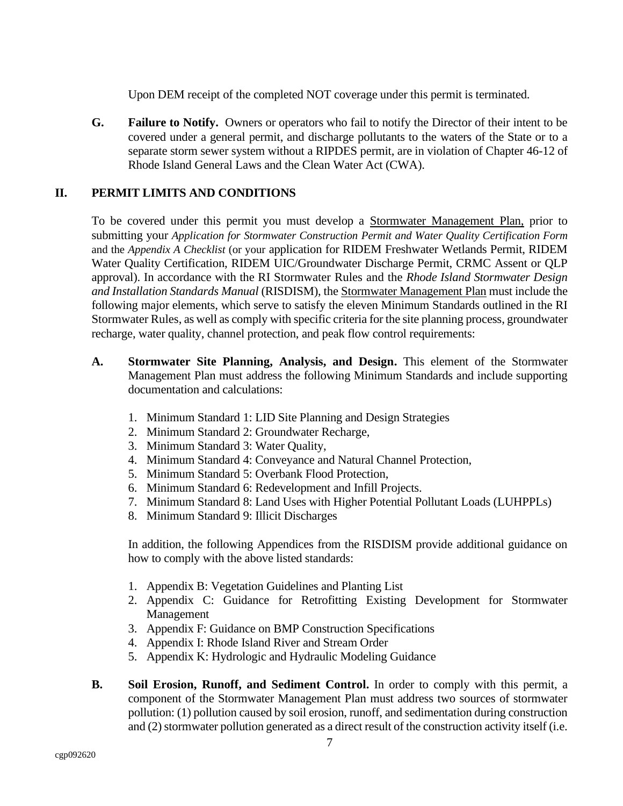Upon DEM receipt of the completed NOT coverage under this permit is terminated.

<span id="page-10-0"></span>**G. Failure to Notify.** Owners or operators who fail to notify the Director of their intent to be covered under a general permit, and discharge pollutants to the waters of the State or to a separate storm sewer system without a RIPDES permit, are in violation of Chapter 46-12 of Rhode Island General Laws and the Clean Water Act (CWA).

# <span id="page-10-1"></span>**II. PERMIT LIMITS AND CONDITIONS**

To be covered under this permit you must develop a Stormwater Management Plan, prior to submitting your *Application for Stormwater Construction Permit and Water Quality Certification Form*  and the *Appendix A Checklist* (or your application for RIDEM Freshwater Wetlands Permit, RIDEM Water Quality Certification, RIDEM UIC/Groundwater Discharge Permit, CRMC Assent or QLP approval). In accordance with the RI Stormwater Rules and the *Rhode Island Stormwater Design and Installation Standards Manual* (RISDISM), the Stormwater Management Plan must include the following major elements, which serve to satisfy the eleven Minimum Standards outlined in the RI Stormwater Rules, as well as comply with specific criteria for the site planning process, groundwater recharge, water quality, channel protection, and peak flow control requirements:

- <span id="page-10-2"></span>**A. Stormwater Site Planning, Analysis, and Design.** This element of the Stormwater Management Plan must address the following Minimum Standards and include supporting documentation and calculations:
	- 1. Minimum Standard 1: LID Site Planning and Design Strategies
	- 2. Minimum Standard 2: Groundwater Recharge,
	- 3. Minimum Standard 3: Water Quality,
	- 4. Minimum Standard 4: Conveyance and Natural Channel Protection,
	- 5. Minimum Standard 5: Overbank Flood Protection,
	- 6. Minimum Standard 6: Redevelopment and Infill Projects.
	- 7. Minimum Standard 8: Land Uses with Higher Potential Pollutant Loads (LUHPPLs)
	- 8. Minimum Standard 9: Illicit Discharges

In addition, the following Appendices from the RISDISM provide additional guidance on how to comply with the above listed standards:

- 1. Appendix B: Vegetation Guidelines and Planting List
- 2. Appendix C: Guidance for Retrofitting Existing Development for Stormwater Management
- 3. Appendix F: Guidance on BMP Construction Specifications
- 4. Appendix I: Rhode Island River and Stream Order
- 5. Appendix K: Hydrologic and Hydraulic Modeling Guidance
- <span id="page-10-3"></span>**B. Soil Erosion, Runoff, and Sediment Control.** In order to comply with this permit, a component of the Stormwater Management Plan must address two sources of stormwater pollution: (1) pollution caused by soil erosion, runoff, and sedimentation during construction and (2) stormwater pollution generated as a direct result of the construction activity itself (i.e.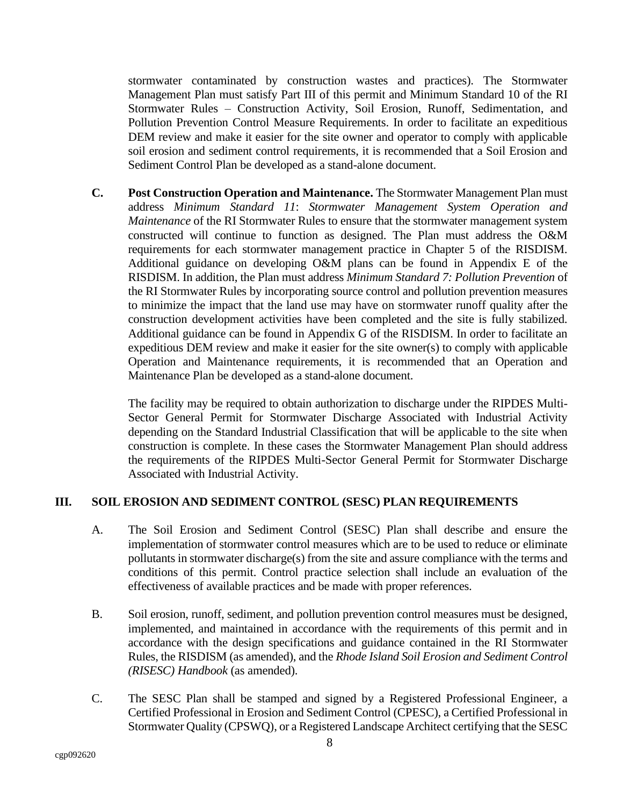stormwater contaminated by construction wastes and practices). The Stormwater Management Plan must satisfy Part III of this permit and Minimum Standard 10 of the RI Stormwater Rules – Construction Activity, Soil Erosion, Runoff, Sedimentation, and Pollution Prevention Control Measure Requirements. In order to facilitate an expeditious DEM review and make it easier for the site owner and operator to comply with applicable soil erosion and sediment control requirements, it is recommended that a Soil Erosion and Sediment Control Plan be developed as a stand-alone document.

<span id="page-11-0"></span>**C. Post Construction Operation and Maintenance.** The Stormwater Management Plan must address *Minimum Standard 11*: *Stormwater Management System Operation and Maintenance* of the RI Stormwater Rules to ensure that the stormwater management system constructed will continue to function as designed. The Plan must address the O&M requirements for each stormwater management practice in Chapter 5 of the RISDISM. Additional guidance on developing O&M plans can be found in Appendix E of the RISDISM. In addition, the Plan must address *Minimum Standard 7: Pollution Prevention* of the RI Stormwater Rules by incorporating source control and pollution prevention measures to minimize the impact that the land use may have on stormwater runoff quality after the construction development activities have been completed and the site is fully stabilized. Additional guidance can be found in Appendix G of the RISDISM. In order to facilitate an expeditious DEM review and make it easier for the site owner(s) to comply with applicable Operation and Maintenance requirements, it is recommended that an Operation and Maintenance Plan be developed as a stand-alone document.

The facility may be required to obtain authorization to discharge under the RIPDES Multi-Sector General Permit for Stormwater Discharge Associated with Industrial Activity depending on the Standard Industrial Classification that will be applicable to the site when construction is complete. In these cases the Stormwater Management Plan should address the requirements of the RIPDES Multi-Sector General Permit for Stormwater Discharge Associated with Industrial Activity.

#### <span id="page-11-1"></span>**III. SOIL EROSION AND SEDIMENT CONTROL (SESC) PLAN REQUIREMENTS**

- A. The Soil Erosion and Sediment Control (SESC) Plan shall describe and ensure the implementation of stormwater control measures which are to be used to reduce or eliminate pollutants in stormwater discharge(s) from the site and assure compliance with the terms and conditions of this permit. Control practice selection shall include an evaluation of the effectiveness of available practices and be made with proper references.
- B. Soil erosion, runoff, sediment, and pollution prevention control measures must be designed, implemented, and maintained in accordance with the requirements of this permit and in accordance with the design specifications and guidance contained in the RI Stormwater Rules, the RISDISM (as amended), and the *Rhode Island Soil Erosion and Sediment Control (RISESC) Handbook* (as amended).
- C. The SESC Plan shall be stamped and signed by a Registered Professional Engineer, a Certified Professional in Erosion and Sediment Control (CPESC), a Certified Professional in Stormwater Quality (CPSWQ), or a Registered Landscape Architect certifying that the SESC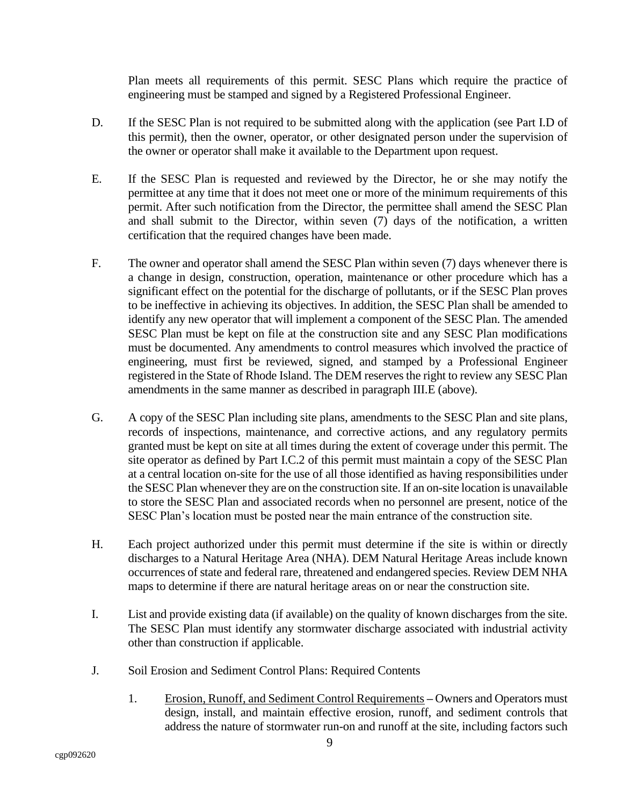Plan meets all requirements of this permit. SESC Plans which require the practice of engineering must be stamped and signed by a Registered Professional Engineer.

- D. If the SESC Plan is not required to be submitted along with the application (see Part I.D of this permit), then the owner, operator, or other designated person under the supervision of the owner or operator shall make it available to the Department upon request.
- E. If the SESC Plan is requested and reviewed by the Director, he or she may notify the permittee at any time that it does not meet one or more of the minimum requirements of this permit. After such notification from the Director, the permittee shall amend the SESC Plan and shall submit to the Director, within seven (7) days of the notification, a written certification that the required changes have been made.
- F. The owner and operator shall amend the SESC Plan within seven (7) days whenever there is a change in design, construction, operation, maintenance or other procedure which has a significant effect on the potential for the discharge of pollutants, or if the SESC Plan proves to be ineffective in achieving its objectives. In addition, the SESC Plan shall be amended to identify any new operator that will implement a component of the SESC Plan. The amended SESC Plan must be kept on file at the construction site and any SESC Plan modifications must be documented. Any amendments to control measures which involved the practice of engineering, must first be reviewed, signed, and stamped by a Professional Engineer registered in the State of Rhode Island. The DEM reserves the right to review any SESC Plan amendments in the same manner as described in paragraph III.E (above).
- G. A copy of the SESC Plan including site plans, amendments to the SESC Plan and site plans, records of inspections, maintenance, and corrective actions, and any regulatory permits granted must be kept on site at all times during the extent of coverage under this permit. The site operator as defined by Part I.C.2 of this permit must maintain a copy of the SESC Plan at a central location on-site for the use of all those identified as having responsibilities under the SESC Plan whenever they are on the construction site. If an on-site location is unavailable to store the SESC Plan and associated records when no personnel are present, notice of the SESC Plan's location must be posted near the main entrance of the construction site.
- H. Each project authorized under this permit must determine if the site is within or directly discharges to a Natural Heritage Area (NHA). DEM Natural Heritage Areas include known occurrences of state and federal rare, threatened and endangered species. Review DEM NHA maps to determine if there are natural heritage areas on or near the construction site.
- I. List and provide existing data (if available) on the quality of known discharges from the site. The SESC Plan must identify any stormwater discharge associated with industrial activity other than construction if applicable.
- <span id="page-12-0"></span>J. Soil Erosion and Sediment Control Plans: Required Contents
	- 1. Erosion, Runoff, and Sediment Control Requirements **–** Owners and Operators must design, install, and maintain effective erosion, runoff, and sediment controls that address the nature of stormwater run-on and runoff at the site, including factors such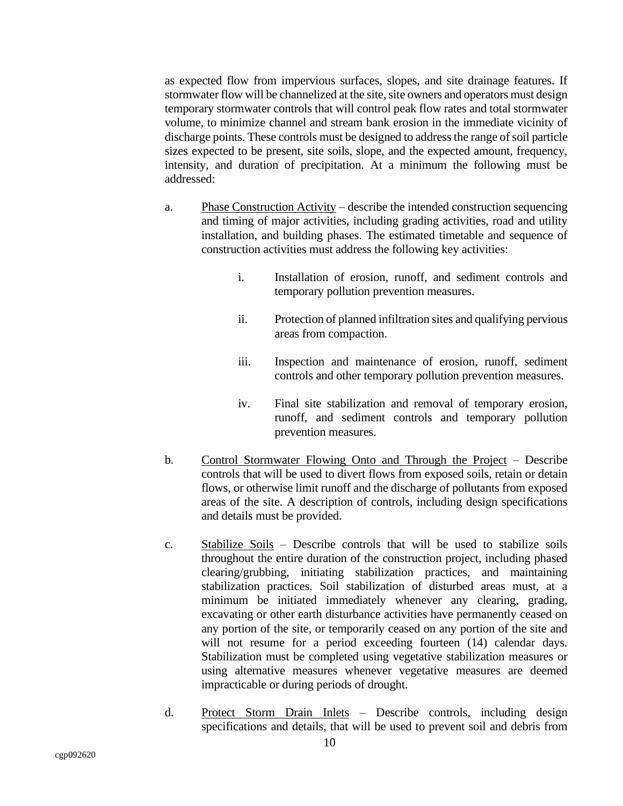as expected flow from impervious surfaces, slopes, and site drainage features. If stormwater flow will be channelized at the site, site owners and operators must design temporary stormwater controls that will control peak flow rates and total stormwater volume, to minimize channel and stream bank erosion in the immediate vicinity of discharge points. These controls must be designed to address the range of soil particle sizes expected to be present, site soils, slope, and the expected amount, frequency, intensity, and duration of precipitation. At a minimum the following must be addressed:

- a. Phase Construction Activity describe the intended construction sequencing and timing of major activities, including grading activities, road and utility installation, and building phases. The estimated timetable and sequence of construction activities must address the following key activities:
	- i. Installation of erosion, runoff, and sediment controls and temporary pollution prevention measures.
	- ii. Protection of planned infiltration sites and qualifying pervious areas from compaction.
	- iii. Inspection and maintenance of erosion, runoff, sediment controls and other temporary pollution prevention measures.
	- iv. Final site stabilization and removal of temporary erosion, runoff, and sediment controls and temporary pollution prevention measures.
- b. Control Stormwater Flowing Onto and Through the Project Describe controls that will be used to divert flows from exposed soils, retain or detain flows, or otherwise limit runoff and the discharge of pollutants from exposed areas of the site. A description of controls, including design specifications and details must be provided.
- c. Stabilize Soils Describe controls that will be used to stabilize soils throughout the entire duration of the construction project, including phased clearing/grubbing, initiating stabilization practices, and maintaining stabilization practices. Soil stabilization of disturbed areas must, at a minimum be initiated immediately whenever any clearing, grading, excavating or other earth disturbance activities have permanently ceased on any portion of the site, or temporarily ceased on any portion of the site and will not resume for a period exceeding fourteen  $(14)$  calendar days. Stabilization must be completed using vegetative stabilization measures or using alternative measures whenever vegetative measures are deemed impracticable or during periods of drought.
- d. Protect Storm Drain Inlets Describe controls, including design specifications and details, that will be used to prevent soil and debris from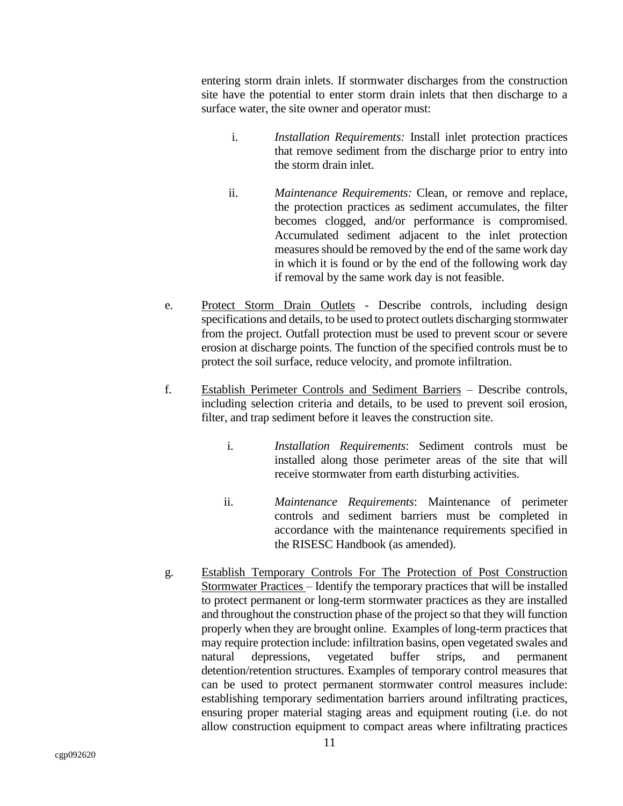entering storm drain inlets. If stormwater discharges from the construction site have the potential to enter storm drain inlets that then discharge to a surface water, the site owner and operator must:

- i. *Installation Requirements:* Install inlet protection practices that remove sediment from the discharge prior to entry into the storm drain inlet.
- ii. *Maintenance Requirements:* Clean, or remove and replace, the protection practices as sediment accumulates, the filter becomes clogged, and/or performance is compromised. Accumulated sediment adjacent to the inlet protection measures should be removed by the end of the same work day in which it is found or by the end of the following work day if removal by the same work day is not feasible.
- e. Protect Storm Drain Outlets Describe controls, including design specifications and details, to be used to protect outlets discharging stormwater from the project. Outfall protection must be used to prevent scour or severe erosion at discharge points. The function of the specified controls must be to protect the soil surface, reduce velocity, and promote infiltration.
- f. Establish Perimeter Controls and Sediment Barriers Describe controls, including selection criteria and details, to be used to prevent soil erosion, filter, and trap sediment before it leaves the construction site.
	- i. *Installation Requirements*: Sediment controls must be installed along those perimeter areas of the site that will receive stormwater from earth disturbing activities.
	- ii. *Maintenance Requirements*: Maintenance of perimeter controls and sediment barriers must be completed in accordance with the maintenance requirements specified in the RISESC Handbook (as amended).
- g. Establish Temporary Controls For The Protection of Post Construction Stormwater Practices – Identify the temporary practices that will be installed to protect permanent or long-term stormwater practices as they are installed and throughout the construction phase of the project so that they will function properly when they are brought online. Examples of long-term practices that may require protection include: infiltration basins, open vegetated swales and natural depressions, vegetated buffer strips, and permanent detention/retention structures. Examples of temporary control measures that can be used to protect permanent stormwater control measures include: establishing temporary sedimentation barriers around infiltrating practices, ensuring proper material staging areas and equipment routing (i.e. do not allow construction equipment to compact areas where infiltrating practices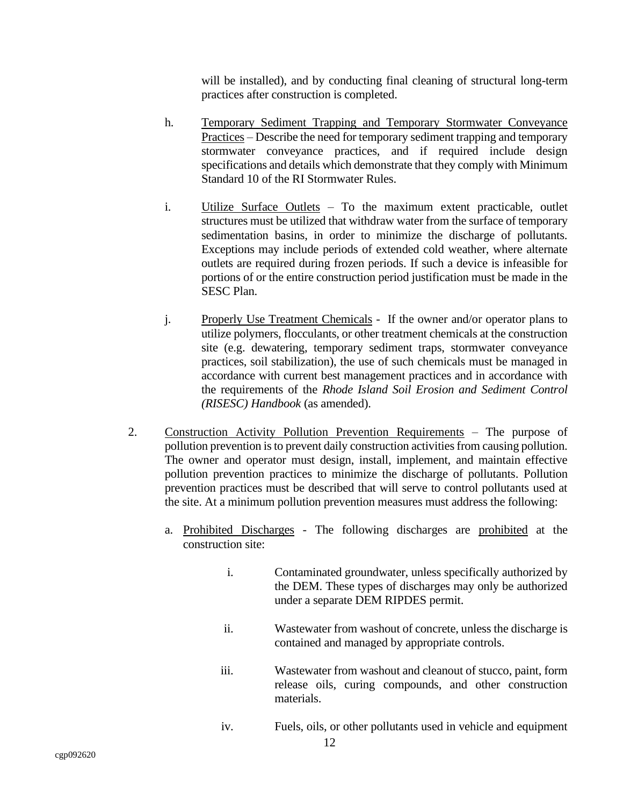will be installed), and by conducting final cleaning of structural long-term practices after construction is completed.

- h. Temporary Sediment Trapping and Temporary Stormwater Conveyance Practices – Describe the need for temporary sediment trapping and temporary stormwater conveyance practices, and if required include design specifications and details which demonstrate that they comply with Minimum Standard 10 of the RI Stormwater Rules.
- i. Utilize Surface Outlets To the maximum extent practicable, outlet structures must be utilized that withdraw water from the surface of temporary sedimentation basins, in order to minimize the discharge of pollutants. Exceptions may include periods of extended cold weather, where alternate outlets are required during frozen periods. If such a device is infeasible for portions of or the entire construction period justification must be made in the SESC Plan.
- j. Properly Use Treatment Chemicals If the owner and/or operator plans to utilize polymers, flocculants, or other treatment chemicals at the construction site (e.g. dewatering, temporary sediment traps, stormwater conveyance practices, soil stabilization), the use of such chemicals must be managed in accordance with current best management practices and in accordance with the requirements of the *Rhode Island Soil Erosion and Sediment Control (RISESC) Handbook* (as amended).
- <span id="page-15-0"></span>2. Construction Activity Pollution Prevention Requirements – The purpose of pollution prevention is to prevent daily construction activities from causing pollution. The owner and operator must design, install, implement, and maintain effective pollution prevention practices to minimize the discharge of pollutants. Pollution prevention practices must be described that will serve to control pollutants used at the site. At a minimum pollution prevention measures must address the following:
	- a. Prohibited Discharges The following discharges are prohibited at the construction site:
		- i. Contaminated groundwater, unless specifically authorized by the DEM. These types of discharges may only be authorized under a separate DEM RIPDES permit.
		- ii. Wastewater from washout of concrete, unless the discharge is contained and managed by appropriate controls.
		- iii. Wastewater from washout and cleanout of stucco, paint, form release oils, curing compounds, and other construction materials.
		- iv. Fuels, oils, or other pollutants used in vehicle and equipment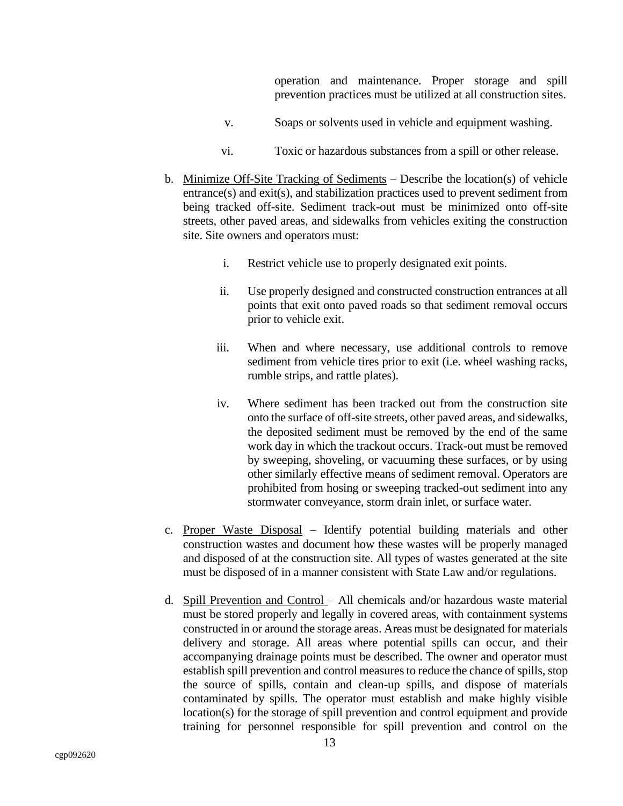operation and maintenance. Proper storage and spill prevention practices must be utilized at all construction sites.

- v. Soaps or solvents used in vehicle and equipment washing.
- vi. Toxic or hazardous substances from a spill or other release.
- b. Minimize Off-Site Tracking of Sediments Describe the location(s) of vehicle entrance(s) and exit(s), and stabilization practices used to prevent sediment from being tracked off-site. Sediment track-out must be minimized onto off-site streets, other paved areas, and sidewalks from vehicles exiting the construction site. Site owners and operators must:
	- i. Restrict vehicle use to properly designated exit points.
	- ii. Use properly designed and constructed construction entrances at all points that exit onto paved roads so that sediment removal occurs prior to vehicle exit.
	- iii. When and where necessary, use additional controls to remove sediment from vehicle tires prior to exit (i.e. wheel washing racks, rumble strips, and rattle plates).
	- iv. Where sediment has been tracked out from the construction site onto the surface of off-site streets, other paved areas, and sidewalks, the deposited sediment must be removed by the end of the same work day in which the trackout occurs. Track-out must be removed by sweeping, shoveling, or vacuuming these surfaces, or by using other similarly effective means of sediment removal. Operators are prohibited from hosing or sweeping tracked-out sediment into any stormwater conveyance, storm drain inlet, or surface water.
- c. Proper Waste Disposal Identify potential building materials and other construction wastes and document how these wastes will be properly managed and disposed of at the construction site. All types of wastes generated at the site must be disposed of in a manner consistent with State Law and/or regulations.
- d. Spill Prevention and Control All chemicals and/or hazardous waste material must be stored properly and legally in covered areas, with containment systems constructed in or around the storage areas. Areas must be designated for materials delivery and storage. All areas where potential spills can occur, and their accompanying drainage points must be described. The owner and operator must establish spill prevention and control measures to reduce the chance of spills, stop the source of spills, contain and clean-up spills, and dispose of materials contaminated by spills. The operator must establish and make highly visible location(s) for the storage of spill prevention and control equipment and provide training for personnel responsible for spill prevention and control on the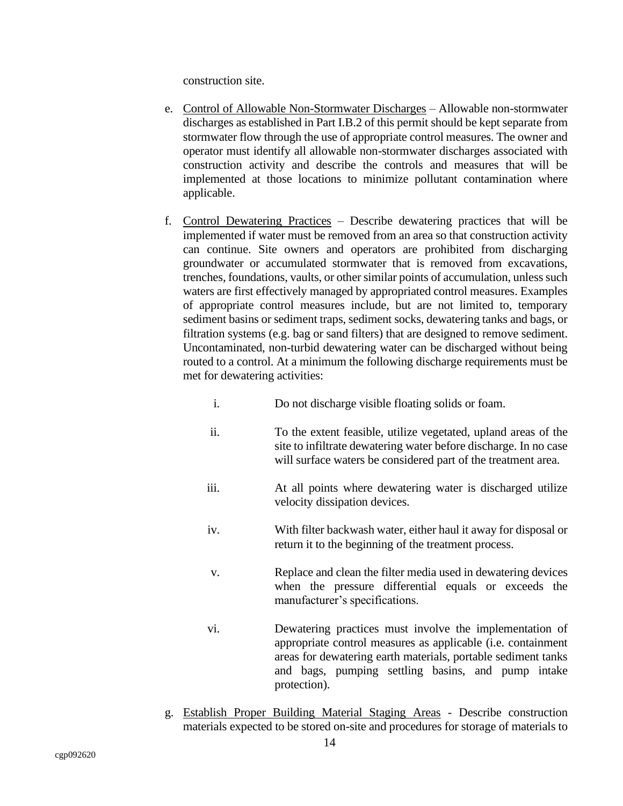construction site.

- e. Control of Allowable Non-Stormwater Discharges Allowable non-stormwater discharges as established in Part I.B.2 of this permit should be kept separate from stormwater flow through the use of appropriate control measures. The owner and operator must identify all allowable non-stormwater discharges associated with construction activity and describe the controls and measures that will be implemented at those locations to minimize pollutant contamination where applicable.
- f. Control Dewatering Practices Describe dewatering practices that will be implemented if water must be removed from an area so that construction activity can continue. Site owners and operators are prohibited from discharging groundwater or accumulated stormwater that is removed from excavations, trenches, foundations, vaults, or other similar points of accumulation, unless such waters are first effectively managed by appropriated control measures. Examples of appropriate control measures include, but are not limited to, temporary sediment basins or sediment traps, sediment socks, dewatering tanks and bags, or filtration systems (e.g. bag or sand filters) that are designed to remove sediment. Uncontaminated, non-turbid dewatering water can be discharged without being routed to a control. At a minimum the following discharge requirements must be met for dewatering activities:
	- i. Do not discharge visible floating solids or foam.
	- ii. To the extent feasible, utilize vegetated, upland areas of the site to infiltrate dewatering water before discharge. In no case will surface waters be considered part of the treatment area.
	- iii. At all points where dewatering water is discharged utilize velocity dissipation devices.
	- iv. With filter backwash water, either haul it away for disposal or return it to the beginning of the treatment process.
	- v. Replace and clean the filter media used in dewatering devices when the pressure differential equals or exceeds the manufacturer's specifications.
	- vi. Dewatering practices must involve the implementation of appropriate control measures as applicable (i.e. containment areas for dewatering earth materials, portable sediment tanks and bags, pumping settling basins, and pump intake protection).
- g. Establish Proper Building Material Staging Areas Describe construction materials expected to be stored on-site and procedures for storage of materials to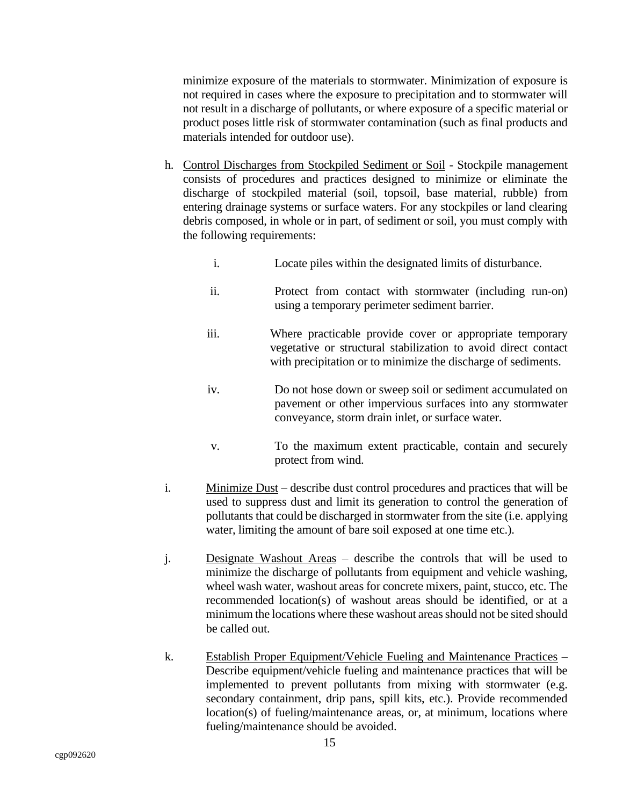minimize exposure of the materials to stormwater. Minimization of exposure is not required in cases where the exposure to precipitation and to stormwater will not result in a discharge of pollutants, or where exposure of a specific material or product poses little risk of stormwater contamination (such as final products and materials intended for outdoor use).

- h. Control Discharges from Stockpiled Sediment or Soil Stockpile management consists of procedures and practices designed to minimize or eliminate the discharge of stockpiled material (soil, topsoil, base material, rubble) from entering drainage systems or surface waters. For any stockpiles or land clearing debris composed, in whole or in part, of sediment or soil, you must comply with the following requirements:
	- i. Locate piles within the designated limits of disturbance.
	- ii. Protect from contact with stormwater (including run-on) using a temporary perimeter sediment barrier.
	- iii. Where practicable provide cover or appropriate temporary vegetative or structural stabilization to avoid direct contact with precipitation or to minimize the discharge of sediments.
	- iv. Do not hose down or sweep soil or sediment accumulated on pavement or other impervious surfaces into any stormwater conveyance, storm drain inlet, or surface water.
	- v. To the maximum extent practicable, contain and securely protect from wind.
- i. Minimize Dust describe dust control procedures and practices that will be used to suppress dust and limit its generation to control the generation of pollutants that could be discharged in stormwater from the site (i.e. applying water, limiting the amount of bare soil exposed at one time etc.).
- j. Designate Washout Areas describe the controls that will be used to minimize the discharge of pollutants from equipment and vehicle washing, wheel wash water, washout areas for concrete mixers, paint, stucco, etc. The recommended location(s) of washout areas should be identified, or at a minimum the locations where these washout areas should not be sited should be called out.
- k. Establish Proper Equipment/Vehicle Fueling and Maintenance Practices Describe equipment/vehicle fueling and maintenance practices that will be implemented to prevent pollutants from mixing with stormwater (e.g. secondary containment, drip pans, spill kits, etc.). Provide recommended location(s) of fueling/maintenance areas, or, at minimum, locations where fueling/maintenance should be avoided.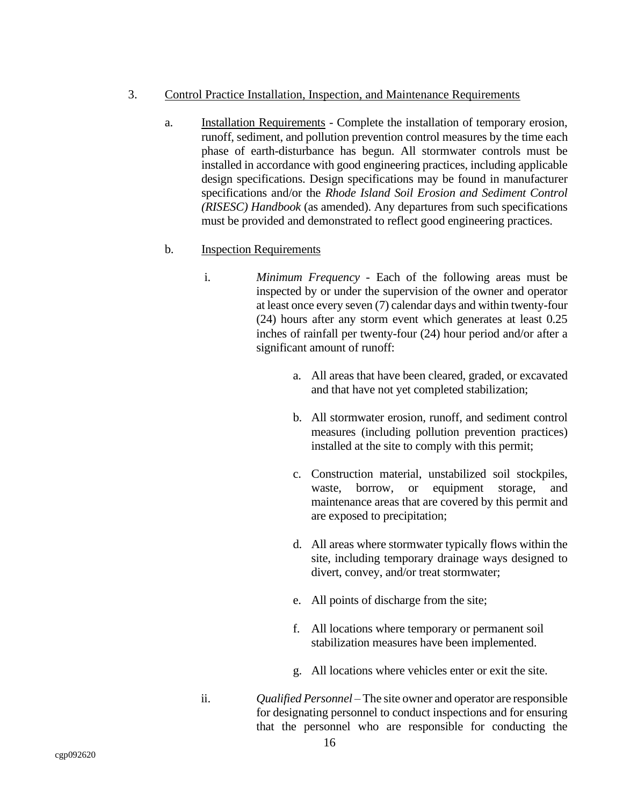- <span id="page-19-0"></span>3. Control Practice Installation, Inspection, and Maintenance Requirements
	- a. Installation Requirements Complete the installation of temporary erosion, runoff, sediment, and pollution prevention control measures by the time each phase of earth-disturbance has begun. All stormwater controls must be installed in accordance with good engineering practices, including applicable design specifications. Design specifications may be found in manufacturer specifications and/or the *Rhode Island Soil Erosion and Sediment Control (RISESC) Handbook* (as amended). Any departures from such specifications must be provided and demonstrated to reflect good engineering practices.

## b. Inspection Requirements

- i. *Minimum Frequency* Each of the following areas must be inspected by or under the supervision of the owner and operator at least once every seven (7) calendar days and within twenty-four (24) hours after any storm event which generates at least 0.25 inches of rainfall per twenty-four (24) hour period and/or after a significant amount of runoff:
	- a. All areas that have been cleared, graded, or excavated and that have not yet completed stabilization;
	- b. All stormwater erosion, runoff, and sediment control measures (including pollution prevention practices) installed at the site to comply with this permit;
	- c. Construction material, unstabilized soil stockpiles, waste, borrow, or equipment storage, and maintenance areas that are covered by this permit and are exposed to precipitation;
	- d. All areas where stormwater typically flows within the site, including temporary drainage ways designed to divert, convey, and/or treat stormwater;
	- e. All points of discharge from the site;
	- f. All locations where temporary or permanent soil stabilization measures have been implemented.
	- g. All locations where vehicles enter or exit the site.
- ii. *Qualified Personnel* The site owner and operator are responsible for designating personnel to conduct inspections and for ensuring that the personnel who are responsible for conducting the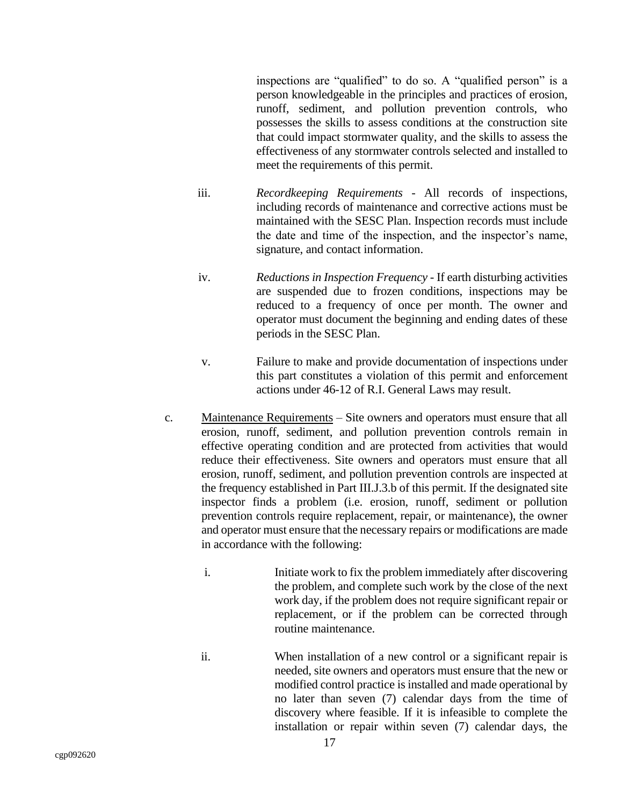inspections are "qualified" to do so. A "qualified person" is a person knowledgeable in the principles and practices of erosion, runoff, sediment, and pollution prevention controls, who possesses the skills to assess conditions at the construction site that could impact stormwater quality, and the skills to assess the effectiveness of any stormwater controls selected and installed to meet the requirements of this permit.

- iii. *Recordkeeping Requirements* All records of inspections, including records of maintenance and corrective actions must be maintained with the SESC Plan. Inspection records must include the date and time of the inspection, and the inspector's name, signature, and contact information.
- iv. *Reductions in Inspection Frequency* If earth disturbing activities are suspended due to frozen conditions, inspections may be reduced to a frequency of once per month. The owner and operator must document the beginning and ending dates of these periods in the SESC Plan.
- v. Failure to make and provide documentation of inspections under this part constitutes a violation of this permit and enforcement actions under 46-12 of R.I. General Laws may result.
- c. Maintenance Requirements Site owners and operators must ensure that all erosion, runoff, sediment, and pollution prevention controls remain in effective operating condition and are protected from activities that would reduce their effectiveness. Site owners and operators must ensure that all erosion, runoff, sediment, and pollution prevention controls are inspected at the frequency established in Part III.J.3.b of this permit. If the designated site inspector finds a problem (i.e. erosion, runoff, sediment or pollution prevention controls require replacement, repair, or maintenance), the owner and operator must ensure that the necessary repairs or modifications are made in accordance with the following:
	- i. Initiate work to fix the problem immediately after discovering the problem, and complete such work by the close of the next work day, if the problem does not require significant repair or replacement, or if the problem can be corrected through routine maintenance.
	- ii. When installation of a new control or a significant repair is needed, site owners and operators must ensure that the new or modified control practice is installed and made operational by no later than seven (7) calendar days from the time of discovery where feasible. If it is infeasible to complete the installation or repair within seven (7) calendar days, the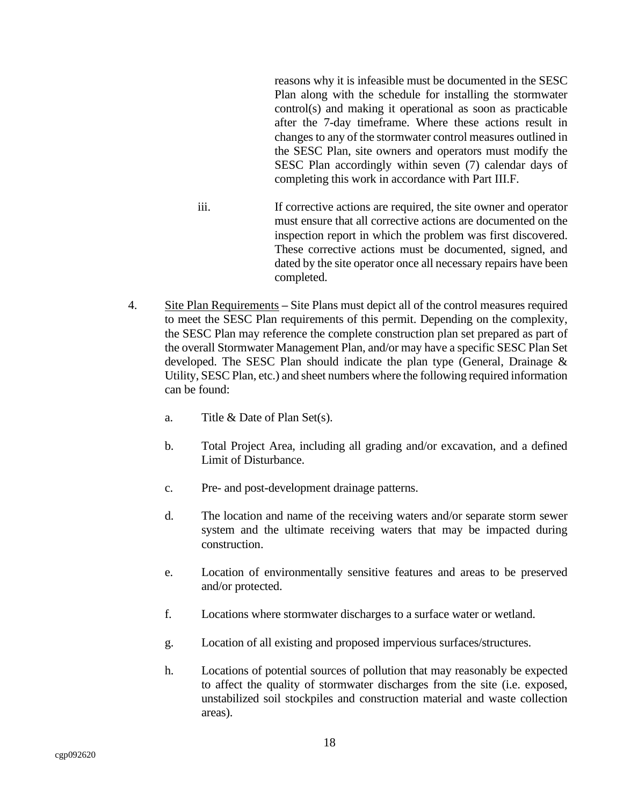reasons why it is infeasible must be documented in the SESC Plan along with the schedule for installing the stormwater control(s) and making it operational as soon as practicable after the 7-day timeframe. Where these actions result in changes to any of the stormwater control measures outlined in the SESC Plan, site owners and operators must modify the SESC Plan accordingly within seven (7) calendar days of completing this work in accordance with Part III.F.

- iii. If corrective actions are required, the site owner and operator must ensure that all corrective actions are documented on the inspection report in which the problem was first discovered. These corrective actions must be documented, signed, and dated by the site operator once all necessary repairs have been completed.
- <span id="page-21-0"></span>4. Site Plan Requirements **–** Site Plans must depict all of the control measures required to meet the SESC Plan requirements of this permit. Depending on the complexity, the SESC Plan may reference the complete construction plan set prepared as part of the overall Stormwater Management Plan, and/or may have a specific SESC Plan Set developed. The SESC Plan should indicate the plan type (General, Drainage & Utility, SESC Plan, etc.) and sheet numbers where the following required information can be found:
	- a. Title & Date of Plan Set(s).
	- b. Total Project Area, including all grading and/or excavation, and a defined Limit of Disturbance.
	- c. Pre- and post-development drainage patterns.
	- d. The location and name of the receiving waters and/or separate storm sewer system and the ultimate receiving waters that may be impacted during construction.
	- e. Location of environmentally sensitive features and areas to be preserved and/or protected.
	- f. Locations where stormwater discharges to a surface water or wetland.
	- g. Location of all existing and proposed impervious surfaces/structures.
	- h. Locations of potential sources of pollution that may reasonably be expected to affect the quality of stormwater discharges from the site (i.e. exposed, unstabilized soil stockpiles and construction material and waste collection areas).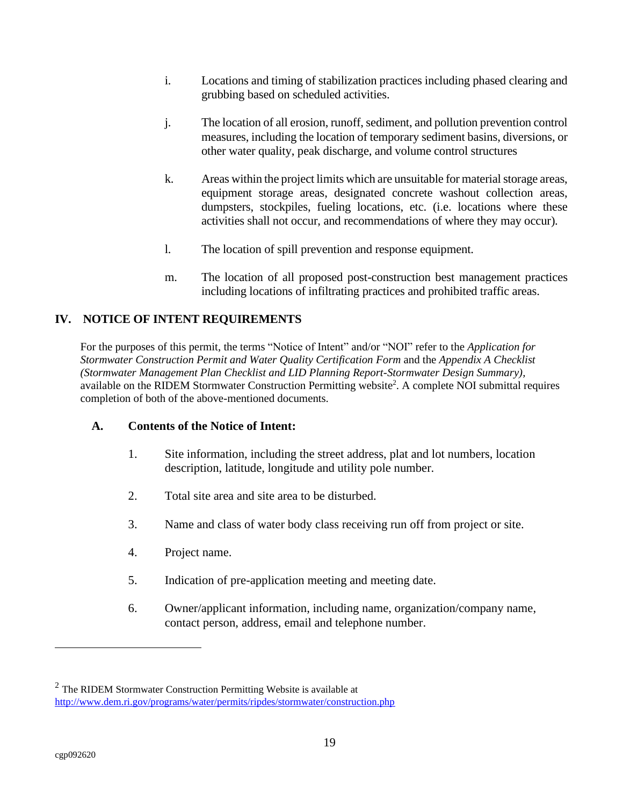- i. Locations and timing of stabilization practices including phased clearing and grubbing based on scheduled activities.
- j. The location of all erosion, runoff, sediment, and pollution prevention control measures, including the location of temporary sediment basins, diversions, or other water quality, peak discharge, and volume control structures
- k. Areas within the project limits which are unsuitable for material storage areas, equipment storage areas, designated concrete washout collection areas, dumpsters, stockpiles, fueling locations, etc. (i.e. locations where these activities shall not occur, and recommendations of where they may occur).
- l. The location of spill prevention and response equipment.
- m. The location of all proposed post-construction best management practices including locations of infiltrating practices and prohibited traffic areas.

# <span id="page-22-0"></span>**IV. NOTICE OF INTENT REQUIREMENTS**

For the purposes of this permit, the terms "Notice of Intent" and/or "NOI" refer to the *Application for Stormwater Construction Permit and Water Quality Certification Form* and the *Appendix A Checklist (Stormwater Management Plan Checklist and LID Planning Report-Stormwater Design Summary),*  available on the RIDEM Stormwater Construction Permitting website<sup>2</sup>. A complete NOI submittal requires completion of both of the above-mentioned documents.

#### <span id="page-22-1"></span>**A. Contents of the Notice of Intent:**

- 1. Site information, including the street address, plat and lot numbers, location description, latitude, longitude and utility pole number.
- 2. Total site area and site area to be disturbed.
- 3. Name and class of water body class receiving run off from project or site.
- 4. Project name.
- 5. Indication of pre-application meeting and meeting date.
- 6. Owner/applicant information, including name, organization/company name, contact person, address, email and telephone number.

 $2$  The RIDEM Stormwater Construction Permitting Website is available at <http://www.dem.ri.gov/programs/water/permits/ripdes/stormwater/construction.php>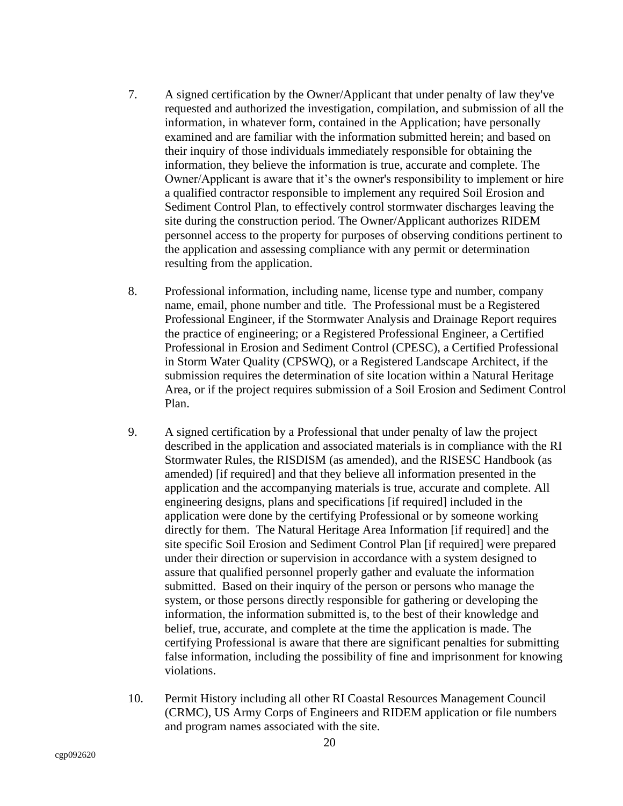- 7. A signed certification by the Owner/Applicant that under penalty of law they've requested and authorized the investigation, compilation, and submission of all the information, in whatever form, contained in the Application; have personally examined and are familiar with the information submitted herein; and based on their inquiry of those individuals immediately responsible for obtaining the information, they believe the information is true, accurate and complete. The Owner/Applicant is aware that it's the owner's responsibility to implement or hire a qualified contractor responsible to implement any required Soil Erosion and Sediment Control Plan, to effectively control stormwater discharges leaving the site during the construction period. The Owner/Applicant authorizes RIDEM personnel access to the property for purposes of observing conditions pertinent to the application and assessing compliance with any permit or determination resulting from the application.
- 8. Professional information, including name, license type and number, company name, email, phone number and title. The Professional must be a Registered Professional Engineer, if the Stormwater Analysis and Drainage Report requires the practice of engineering; or a Registered Professional Engineer, a Certified Professional in Erosion and Sediment Control (CPESC), a Certified Professional in Storm Water Quality (CPSWQ), or a Registered Landscape Architect, if the submission requires the determination of site location within a Natural Heritage Area, or if the project requires submission of a Soil Erosion and Sediment Control Plan.
- 9. A signed certification by a Professional that under penalty of law the project described in the application and associated materials is in compliance with the RI Stormwater Rules, the RISDISM (as amended), and the RISESC Handbook (as amended) [if required] and that they believe all information presented in the application and the accompanying materials is true, accurate and complete. All engineering designs, plans and specifications [if required] included in the application were done by the certifying Professional or by someone working directly for them. The Natural Heritage Area Information [if required] and the site specific Soil Erosion and Sediment Control Plan [if required] were prepared under their direction or supervision in accordance with a system designed to assure that qualified personnel properly gather and evaluate the information submitted. Based on their inquiry of the person or persons who manage the system, or those persons directly responsible for gathering or developing the information, the information submitted is, to the best of their knowledge and belief, true, accurate, and complete at the time the application is made. The certifying Professional is aware that there are significant penalties for submitting false information, including the possibility of fine and imprisonment for knowing violations.
- 10. Permit History including all other RI Coastal Resources Management Council (CRMC), US Army Corps of Engineers and RIDEM application or file numbers and program names associated with the site.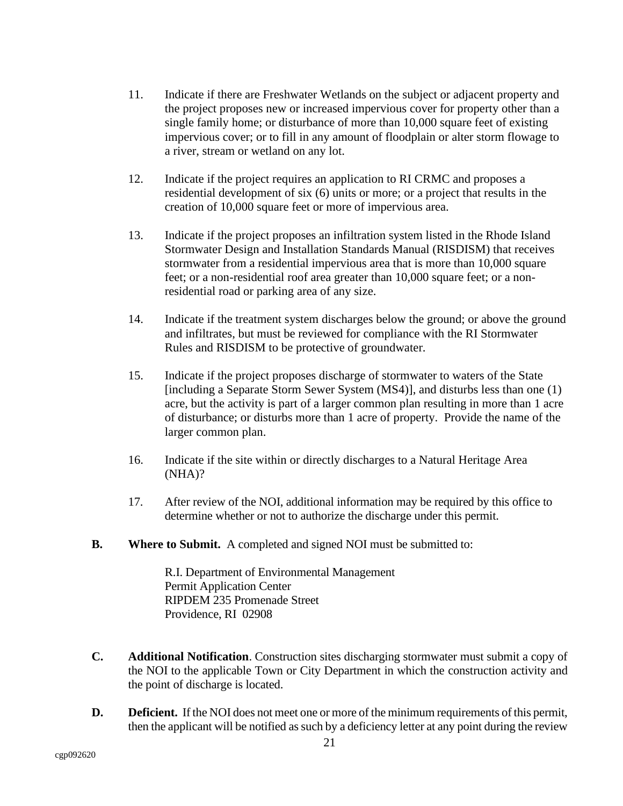- 11. Indicate if there are Freshwater Wetlands on the subject or adjacent property and the project proposes new or increased impervious cover for property other than a single family home; or disturbance of more than 10,000 square feet of existing impervious cover; or to fill in any amount of floodplain or alter storm flowage to a river, stream or wetland on any lot.
- 12. Indicate if the project requires an application to RI CRMC and proposes a residential development of six (6) units or more; or a project that results in the creation of 10,000 square feet or more of impervious area.
- 13. Indicate if the project proposes an infiltration system listed in the Rhode Island Stormwater Design and Installation Standards Manual (RISDISM) that receives stormwater from a residential impervious area that is more than 10,000 square feet; or a non-residential roof area greater than 10,000 square feet; or a nonresidential road or parking area of any size.
- 14. Indicate if the treatment system discharges below the ground; or above the ground and infiltrates, but must be reviewed for compliance with the RI Stormwater Rules and RISDISM to be protective of groundwater.
- 15. Indicate if the project proposes discharge of stormwater to waters of the State [including a Separate Storm Sewer System (MS4)], and disturbs less than one (1) acre, but the activity is part of a larger common plan resulting in more than 1 acre of disturbance; or disturbs more than 1 acre of property. Provide the name of the larger common plan.
- 16. Indicate if the site within or directly discharges to a Natural Heritage Area (NHA)?
- 17. After review of the NOI, additional information may be required by this office to determine whether or not to authorize the discharge under this permit.
- <span id="page-24-0"></span>**B. Where to Submit.** A completed and signed NOI must be submitted to:

R.I. Department of Environmental Management Permit Application Center RIPDEM 235 Promenade Street Providence, RI 02908

- <span id="page-24-1"></span>**C. Additional Notification**. Construction sites discharging stormwater must submit a copy of the NOI to the applicable Town or City Department in which the construction activity and the point of discharge is located.
- <span id="page-24-2"></span>**D. Deficient.** If the NOI does not meet one or more of the minimum requirements of this permit, then the applicant will be notified as such by a deficiency letter at any point during the review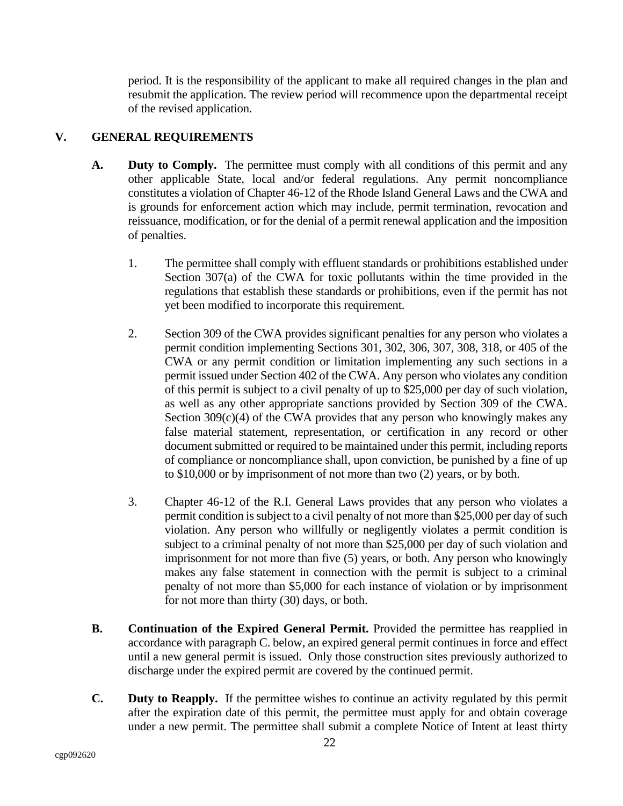period. It is the responsibility of the applicant to make all required changes in the plan and resubmit the application. The review period will recommence upon the departmental receipt of the revised application.

# <span id="page-25-0"></span>**V. GENERAL REQUIREMENTS**

- <span id="page-25-1"></span>**A. Duty to Comply.** The permittee must comply with all conditions of this permit and any other applicable State, local and/or federal regulations. Any permit noncompliance constitutes a violation of Chapter 46-12 of the Rhode Island General Laws and the CWA and is grounds for enforcement action which may include, permit termination, revocation and reissuance, modification, or for the denial of a permit renewal application and the imposition of penalties.
	- 1. The permittee shall comply with effluent standards or prohibitions established under Section 307(a) of the CWA for toxic pollutants within the time provided in the regulations that establish these standards or prohibitions, even if the permit has not yet been modified to incorporate this requirement.
	- 2. Section 309 of the CWA provides significant penalties for any person who violates a permit condition implementing Sections 301, 302, 306, 307, 308, 318, or 405 of the CWA or any permit condition or limitation implementing any such sections in a permit issued under Section 402 of the CWA. Any person who violates any condition of this permit is subject to a civil penalty of up to \$25,000 per day of such violation, as well as any other appropriate sanctions provided by Section 309 of the CWA. Section  $309(c)(4)$  of the CWA provides that any person who knowingly makes any false material statement, representation, or certification in any record or other document submitted or required to be maintained under this permit, including reports of compliance or noncompliance shall, upon conviction, be punished by a fine of up to \$10,000 or by imprisonment of not more than two (2) years, or by both.
	- 3. Chapter 46-12 of the R.I. General Laws provides that any person who violates a permit condition is subject to a civil penalty of not more than \$25,000 per day of such violation. Any person who willfully or negligently violates a permit condition is subject to a criminal penalty of not more than \$25,000 per day of such violation and imprisonment for not more than five (5) years, or both. Any person who knowingly makes any false statement in connection with the permit is subject to a criminal penalty of not more than \$5,000 for each instance of violation or by imprisonment for not more than thirty (30) days, or both.
- <span id="page-25-2"></span>**B. Continuation of the Expired General Permit.** Provided the permittee has reapplied in accordance with paragraph C. below, an expired general permit continues in force and effect until a new general permit is issued. Only those construction sites previously authorized to discharge under the expired permit are covered by the continued permit.
- <span id="page-25-3"></span>**C. Duty to Reapply.** If the permittee wishes to continue an activity regulated by this permit after the expiration date of this permit, the permittee must apply for and obtain coverage under a new permit. The permittee shall submit a complete Notice of Intent at least thirty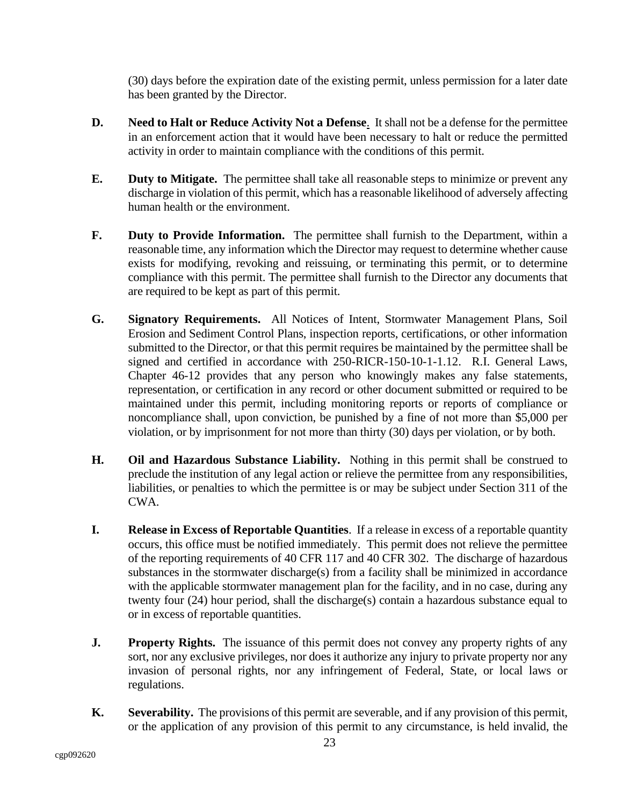(30) days before the expiration date of the existing permit, unless permission for a later date has been granted by the Director.

- <span id="page-26-0"></span>**D. Need to Halt or Reduce Activity Not a Defense**. It shall not be a defense for the permittee in an enforcement action that it would have been necessary to halt or reduce the permitted activity in order to maintain compliance with the conditions of this permit.
- <span id="page-26-1"></span>**E. Duty to Mitigate.** The permittee shall take all reasonable steps to minimize or prevent any discharge in violation of this permit, which has a reasonable likelihood of adversely affecting human health or the environment.
- <span id="page-26-2"></span>**F. Duty to Provide Information.** The permittee shall furnish to the Department, within a reasonable time, any information which the Director may request to determine whether cause exists for modifying, revoking and reissuing, or terminating this permit, or to determine compliance with this permit. The permittee shall furnish to the Director any documents that are required to be kept as part of this permit.
- <span id="page-26-3"></span>**G. Signatory Requirements.** All Notices of Intent, Stormwater Management Plans, Soil Erosion and Sediment Control Plans, inspection reports, certifications, or other information submitted to the Director, or that this permit requires be maintained by the permittee shall be signed and certified in accordance with 250-RICR-150-10-1-1.12. R.I. General Laws, Chapter 46-12 provides that any person who knowingly makes any false statements, representation, or certification in any record or other document submitted or required to be maintained under this permit, including monitoring reports or reports of compliance or noncompliance shall, upon conviction, be punished by a fine of not more than \$5,000 per violation, or by imprisonment for not more than thirty (30) days per violation, or by both.
- <span id="page-26-4"></span>**H. Oil and Hazardous Substance Liability.** Nothing in this permit shall be construed to preclude the institution of any legal action or relieve the permittee from any responsibilities, liabilities, or penalties to which the permittee is or may be subject under Section 311 of the CWA.
- <span id="page-26-5"></span>**I. Release in Excess of Reportable Quantities**. If a release in excess of a reportable quantity occurs, this office must be notified immediately. This permit does not relieve the permittee of the reporting requirements of 40 CFR 117 and 40 CFR 302. The discharge of hazardous substances in the stormwater discharge(s) from a facility shall be minimized in accordance with the applicable stormwater management plan for the facility, and in no case, during any twenty four (24) hour period, shall the discharge(s) contain a hazardous substance equal to or in excess of reportable quantities.
- <span id="page-26-6"></span>**J. Property Rights.** The issuance of this permit does not convey any property rights of any sort, nor any exclusive privileges, nor does it authorize any injury to private property nor any invasion of personal rights, nor any infringement of Federal, State, or local laws or regulations.
- <span id="page-26-7"></span>**K. Severability.** The provisions of this permit are severable, and if any provision of this permit, or the application of any provision of this permit to any circumstance, is held invalid, the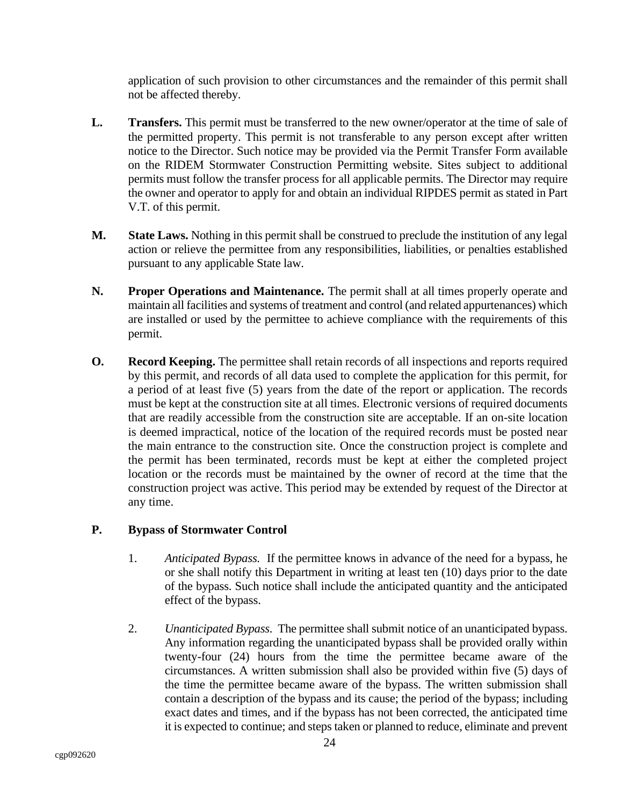application of such provision to other circumstances and the remainder of this permit shall not be affected thereby.

- <span id="page-27-0"></span>**L. Transfers.** This permit must be transferred to the new owner/operator at the time of sale of the permitted property. This permit is not transferable to any person except after written notice to the Director. Such notice may be provided via the Permit Transfer Form available on the RIDEM Stormwater Construction Permitting website. Sites subject to additional permits must follow the transfer process for all applicable permits. The Director may require the owner and operator to apply for and obtain an individual RIPDES permit as stated in Part V.T. of this permit.
- <span id="page-27-1"></span>**M. State Laws.** Nothing in this permit shall be construed to preclude the institution of any legal action or relieve the permittee from any responsibilities, liabilities, or penalties established pursuant to any applicable State law.
- <span id="page-27-2"></span>**N. Proper Operations and Maintenance.** The permit shall at all times properly operate and maintain all facilities and systems of treatment and control (and related appurtenances) which are installed or used by the permittee to achieve compliance with the requirements of this permit.
- <span id="page-27-3"></span>**O. Record Keeping.** The permittee shall retain records of all inspections and reports required by this permit, and records of all data used to complete the application for this permit, for a period of at least five (5) years from the date of the report or application. The records must be kept at the construction site at all times. Electronic versions of required documents that are readily accessible from the construction site are acceptable. If an on-site location is deemed impractical, notice of the location of the required records must be posted near the main entrance to the construction site. Once the construction project is complete and the permit has been terminated, records must be kept at either the completed project location or the records must be maintained by the owner of record at the time that the construction project was active. This period may be extended by request of the Director at any time.

# <span id="page-27-4"></span>**P. Bypass of Stormwater Control**

- 1. *Anticipated Bypass.* If the permittee knows in advance of the need for a bypass, he or she shall notify this Department in writing at least ten (10) days prior to the date of the bypass. Such notice shall include the anticipated quantity and the anticipated effect of the bypass.
- 2. *Unanticipated Bypass.* The permittee shall submit notice of an unanticipated bypass. Any information regarding the unanticipated bypass shall be provided orally within twenty-four (24) hours from the time the permittee became aware of the circumstances. A written submission shall also be provided within five (5) days of the time the permittee became aware of the bypass. The written submission shall contain a description of the bypass and its cause; the period of the bypass; including exact dates and times, and if the bypass has not been corrected, the anticipated time it is expected to continue; and steps taken or planned to reduce, eliminate and prevent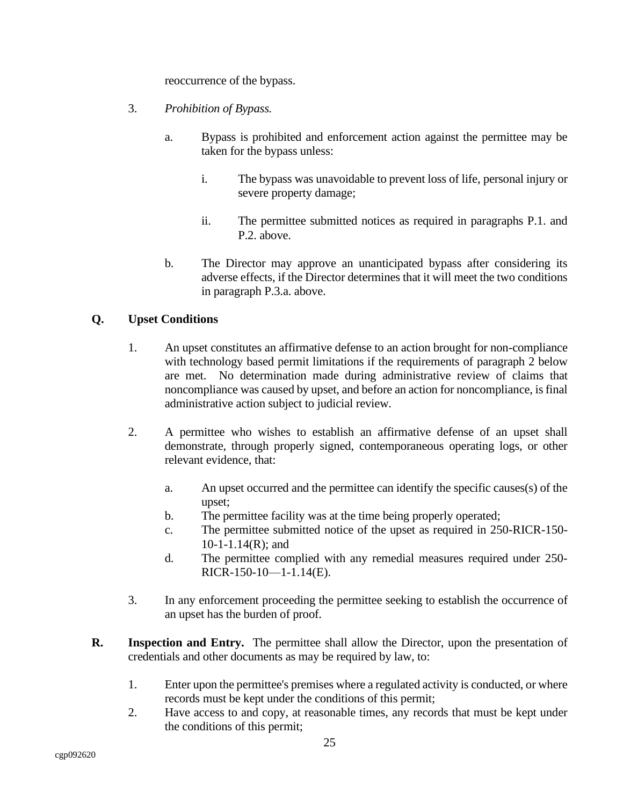reoccurrence of the bypass.

- 3. *Prohibition of Bypass.*
	- a. Bypass is prohibited and enforcement action against the permittee may be taken for the bypass unless:
		- i. The bypass was unavoidable to prevent loss of life, personal injury or severe property damage;
		- ii. The permittee submitted notices as required in paragraphs P.1. and P.2. above.
	- b. The Director may approve an unanticipated bypass after considering its adverse effects, if the Director determines that it will meet the two conditions in paragraph P.3.a. above.

# <span id="page-28-0"></span>**Q. Upset Conditions**

- 1. An upset constitutes an affirmative defense to an action brought for non-compliance with technology based permit limitations if the requirements of paragraph 2 below are met. No determination made during administrative review of claims that noncompliance was caused by upset, and before an action for noncompliance, is final administrative action subject to judicial review.
- 2. A permittee who wishes to establish an affirmative defense of an upset shall demonstrate, through properly signed, contemporaneous operating logs, or other relevant evidence, that:
	- a. An upset occurred and the permittee can identify the specific causes(s) of the upset;
	- b. The permittee facility was at the time being properly operated;
	- c. The permittee submitted notice of the upset as required in 250-RICR-150- 10-1-1.14(R); and
	- d. The permittee complied with any remedial measures required under 250- RICR-150-10—1-1.14(E).
- 3. In any enforcement proceeding the permittee seeking to establish the occurrence of an upset has the burden of proof.
- <span id="page-28-1"></span>**R. Inspection and Entry.** The permittee shall allow the Director, upon the presentation of credentials and other documents as may be required by law, to:
	- 1. Enter upon the permittee's premises where a regulated activity is conducted, or where records must be kept under the conditions of this permit;
	- 2. Have access to and copy, at reasonable times, any records that must be kept under the conditions of this permit;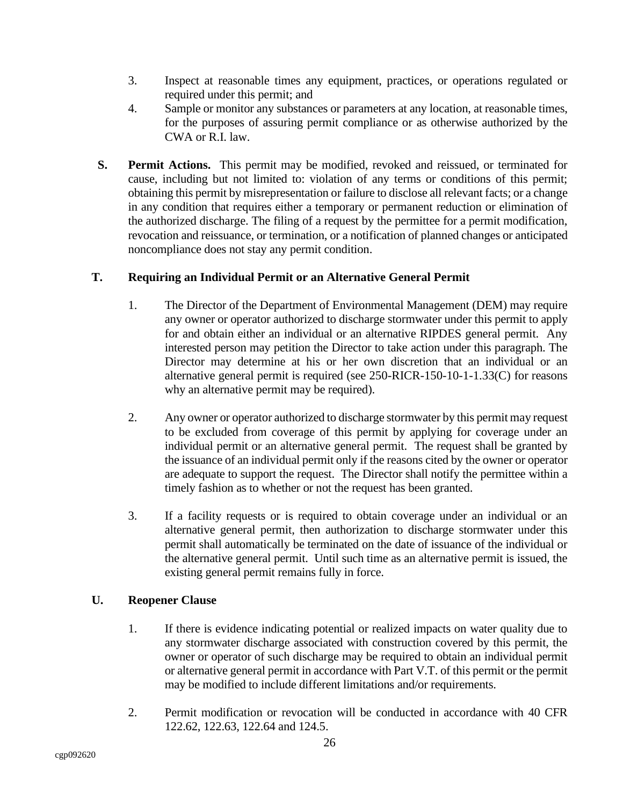- 3. Inspect at reasonable times any equipment, practices, or operations regulated or required under this permit; and
- 4. Sample or monitor any substances or parameters at any location, at reasonable times, for the purposes of assuring permit compliance or as otherwise authorized by the CWA or R.I. law.
- <span id="page-29-0"></span> **S. Permit Actions.** This permit may be modified, revoked and reissued, or terminated for cause, including but not limited to: violation of any terms or conditions of this permit; obtaining this permit by misrepresentation or failure to disclose all relevant facts; or a change in any condition that requires either a temporary or permanent reduction or elimination of the authorized discharge. The filing of a request by the permittee for a permit modification, revocation and reissuance, or termination, or a notification of planned changes or anticipated noncompliance does not stay any permit condition.

# <span id="page-29-1"></span>**T. Requiring an Individual Permit or an Alternative General Permit**

- 1. The Director of the Department of Environmental Management (DEM) may require any owner or operator authorized to discharge stormwater under this permit to apply for and obtain either an individual or an alternative RIPDES general permit. Any interested person may petition the Director to take action under this paragraph. The Director may determine at his or her own discretion that an individual or an alternative general permit is required (see 250-RICR-150-10-1-1.33(C) for reasons why an alternative permit may be required).
- 2. Any owner or operator authorized to discharge stormwater by this permit may request to be excluded from coverage of this permit by applying for coverage under an individual permit or an alternative general permit. The request shall be granted by the issuance of an individual permit only if the reasons cited by the owner or operator are adequate to support the request. The Director shall notify the permittee within a timely fashion as to whether or not the request has been granted.
- 3. If a facility requests or is required to obtain coverage under an individual or an alternative general permit, then authorization to discharge stormwater under this permit shall automatically be terminated on the date of issuance of the individual or the alternative general permit. Until such time as an alternative permit is issued, the existing general permit remains fully in force.

# <span id="page-29-2"></span>**U. Reopener Clause**

- 1. If there is evidence indicating potential or realized impacts on water quality due to any stormwater discharge associated with construction covered by this permit, the owner or operator of such discharge may be required to obtain an individual permit or alternative general permit in accordance with Part V.T. of this permit or the permit may be modified to include different limitations and/or requirements.
- 2. Permit modification or revocation will be conducted in accordance with 40 CFR 122.62, 122.63, 122.64 and 124.5.